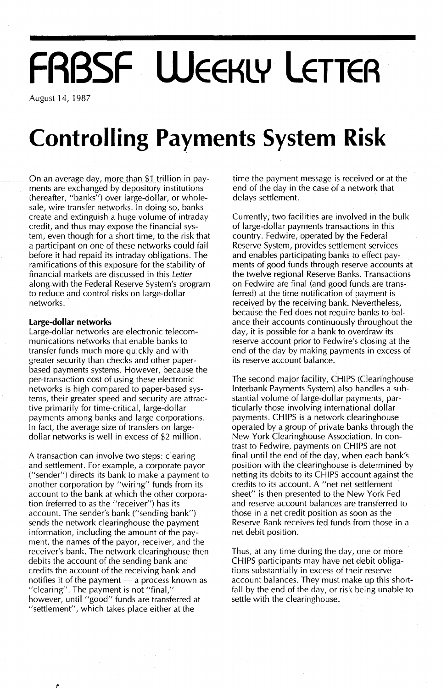# **FRBSF WEEKLY LETTER**

August 14, 1987

# **Controlling Payments System Risk**

On an average day, more than \$1 trillion in payments are exchanged by depository institutions (hereafter, "banks") over large-dollar, or wholesale, wire transfer networks. In doing so, banks create and extinguish a huge volume of intraday credit, and thus may expose the financial system, even though for a short time, to the risk that a participant on one of these networks could fail before it had repaid its intraday obligations. The ramifications of this exposure for the stability of financial markets are discussed in this Letter along with the Federal Reserve System's program to reduce and control risks on large-dollar networks.

### **Large-dollar networks**

Large-dollar networks are electronic telecommunications networks that enable banks to transfer funds much more quickly and with greater security than checks and other paperbased payments systems. However, because the per-transaction cost of using these electronic networks is high compared to paper-based systems, their greater speed and security are attractive primarily for time-critical, large-dollar payments among banks and large corporations. In fact, the average size of transfers on largedollar networks is well in excess of \$2 million.

A transaction can involve two steps: clearing and settlement. For example, a corporate payor ("sender") directs its bank to make a payment to another corporation by "wiring" funds from its account to the bank at which the other corporation (referred to as the "receiver") has its account. The sender's bank ("sending bank") sends the network clearinghouse the payment information, including the amount of the payment, the names of the payor, receiver, and the receiver's bank. The network clearinghouse then debits the account of the sending bank and credits the account of the receiving bank and notifies it of the payment  $-$  a process known as "clearing". The payment is not "final," however, until "good" funds are transferred at "settlement", which takes place either at the

time the payment message is received or at the end of the day in the case of a network that delays settlement.

Currently, two facilities are involved in the bulk of large-dollar payments transactions in this country. Fedwire, operated by the Federal Reserve System, provides settlement services and enables participating banks to effect payments of good funds through reserve accounts at the twelve regional Reserve Banks. Transactions on Fedwire are final (and good funds are transferred) at the time notification of payment is received by the receiving bank. Nevertheless, because the Fed does not require banks to balance their accounts continuously throughout the day, it is possible for a bank to overdraw its reserve account prior to Fedwire's closing at the end of the day by making payments in excess of its reserve account balance.

The second major facility, CHIPS (Clearinghouse Interbank Payments System) also handles a substantial volume of large-dollar payments, particularly those involving international dollar payments. CHIPS is a network clearinghouse operated by a group of private banks through the New York Clearinghouse Association. In contrast to Fedwire, payments on CHIPS are not final until the end of the day, when each bank's position with the clearinghouse is determined by netting its debits to its CHIPS account against the credits to its account. A "net net settlement sheet" is then presented to the New York Fed and reserve account balances are transferred to those in a net credit position as soon as the Reserve Bank receives fed funds from those in a net debit position.

Thus, at any time during the day, one or more CHIPS participants may have net debit obligations substantially in excess of their reserve account balances. They must make up this shortfall by the end of the day, or risk being unable to settle with the clearinghouse.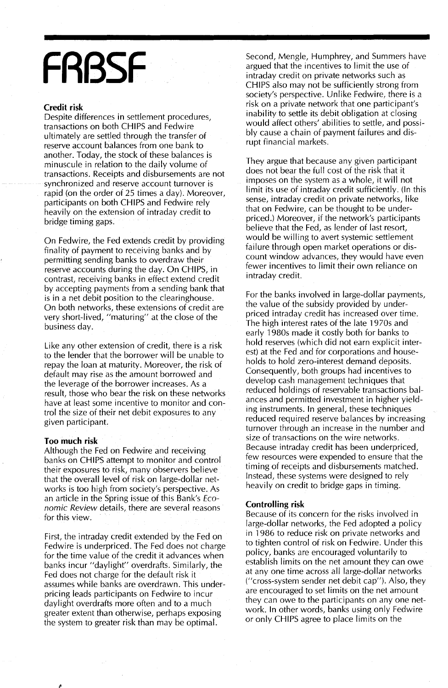# **FRBSF**

#### **Credit risk**

Despite differences in settlement procedures, transactions on both CHIPS and Fedwire ultimately are settled through the transfer of reserve account balances from one bank to another. Today, the stock of these balances is minuscule in relation to the daily volume of transactions. Receipts and disbursements are not synchronized and reserve account turnover is rapid (on the order of 25 times a day). Moreover participants on both CHIPS and Fedwire rely heavily on the extension of intraday credit to bridge timing gaps.

On Fedwire, the Fed extends credit by providing finality of payment to receiving banks and by permitting sending banks to overdraw their reserve accounts during the day. On CHIPS, in contrast, receiving banks in effect extend credit by accepting payments from a sending bank that is in a net debit position to the clearinghouse. On both networks, these extensions of credit are very short-lived, "maturing" at the close of the business day.

Like any other extension of credit, there is a risk to the lender that the borrower will be unable to repay the loan at maturity. Moreover, the risk of default may rise as the amount borrowed and the leverage of the borrower increases. As a result, those who bear the risk on these networks have at least some incentive to monitor and control the size of their net debit exposures to any given participant.

#### **Too much risk**

Although the Fed on Fedwire and receiving banks on CHIPS attempt to monitor and control their exposures to risk, many observers believe that the overall level of risk on large-dollar networks is too high from society's perspective. As an article in the Spring issue of this Bank's *Economic Review* details, there are several reasons for this view.

First, the intraday credit extended by the Fed on Fedwire is underpriced. The Fed does not charge for the time value of the credit it advances when banks incur "daylight" overdrafts. Similarly, the Fed does not charge for the default risk it assumes while banks are overdrawn. This underpricing leads participants on Fedwire to incur daylight overdrafts more often and to a much greater extent than otherwise, perhaps exposing the system to greater risk than may be optimal.

Second, Mengle, Humphrey, and Summers have argued that the incentives to limit the use of intraday credit on private networks such as CHIPS also may not be sufficiently strong from society's perspective. Unlike Fedwire, there is a risk on a private network that one participant's inability to settle its debit obligation at closing would affect others' abilities to settle, and possibly cause a chain of payment failures and disrupt financial markets.

They argue that because any given participant does not bear the full cost of the risk that it imposes on the system as a whole, it will not limit its use of intraday credit sufficiently. (In this sense, intraday credit on private networks, like that on Fedwire, can be thought to be underpriced.) Moreover, if the network's participants believe that the Fed, as lender of last resort, would be willing to avert systemic settlement failure through open market operations or discount window advances, they would have even fewer incentives to limit their own reliance on intraday credit.

For the banks involved in large-dollar payments, the value of the subsidy provided by underpriced intraday credit has increased over time. The high interest rates of the late 1970s and early 1980s made it costly both for banks to hold reserves (which did not earn explicit interest) at the Fed and for corporations and households to hold zero-interest demand deposits. Consequently, both groups had incentives to develop cash management techniques that reduced holdings of reservable transactions balances and permitted investment in higher yielding instruments. In general, these techniques reduced required reserve balances by increasing turnover through an increase in the number and size of transactions on the wire networks. Because intraday credit has been underpriced, few resources were expended to ensure that the timing of receipts and disbursements matched. Instead, these systems were designed to rely heavily on credit to bridge gaps in timing.

#### **Controlling risk**

Because of its concern for the risks involved in large-dollar networks, the Fed adopted a policy in 1986 to reduce risk on private networks and to tighten control of risk on Fedwire. Under this policy, banks are encouraged voluntarily to establish limits on the net amount they can owe at anyone time across all large-dollar networks ("cross-system sender net debit cap"). Also, they are encouraged to set limits on the net amount they can owe to the participants on anyone network. In other words, banks using only Fedwire or only CHIPS agree to place limits on the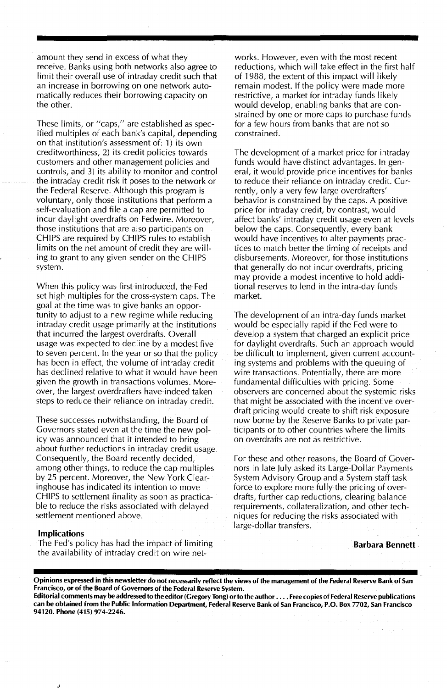amount they send in excess of what they receive. Banks using both networks also agree to limit their overall use of intraday credit such that an increase in borrowing on one network automatically reduces their borrowing capacity on the other.

These limits, or "caps," are established as specified multiples of each bank's capital, depending on that institution's assessment of: 1) its own creditworthiness, 2) its credit policies towards customers and other management policies and controls, and 3) its ability to monitor and control the intraday credit risk it poses to the network or the Federal Reserve. Although this program is voluntary, only those institutions that perform a self-evaluation and file a cap are permitted to incur daylight overdrafts on Fedwire. Moreover, those institutions that are also participants on CHIPS are required by CHIPS rules to establish limits on the net amount of credit they are willing to grant to any given sender on the CHIPS system.

When this policy was first introduced, the Fed set high multiples for the cross-system caps. The goal at the time was to give banks an opportunity to adjust to a new regime while reducing intraday credit usage primarily at the institutions that incurred the largest overdrafts. Overall usage was expected to decline by a modest five to seven percent. In the year or so that the policy has been in effect, the volume of intraday credit has declined relative to what it would have been given the growth in transactions volumes. Moreover, the largest overdrafters have indeed taken steps to reduce their reliance on intraday credit.

These successes notwithstanding, the Board of Governors stated even at the time the new policy was announced that it intended to bring about further reductions in intraday credit usage. Consequently, the Board recently decided, among other things, to reduce the cap multiples by 25 percent. Moreover, the New York Clearinghouse has indicated its intention to move CHIPS to settlement finality as soon as practicable to reduce the risks associated with delayed settlement mentioned above.

# works. However, even with the most recent reductions, which will take effect in the first half of 1988, the extent of this impact will likely remain modest. If the policy were made more restrictive, a market for intraday funds likely would develop, enabling banks that are constrained by one or more caps to purchase funds for a few hours from banks that are not so constrained.

The development of a market price for intraday funds would have distinct advantages. In general, it would provide price incentives for banks to reduce their reliance on intraday credit. Currently, only a very few large overdrafters' behavior is constrained by the caps. A positive price for intraday credit, by contrast, would affect banks' intraday credit usage even at levels below the caps. Consequently, every bank would have incentives to alter payments practices to match better the timing of receipts and disbursements. Moreover, for those institutions that generally do not incur overdrafts, pricing may provide a modest incentive to hold additional reserves to lend in the intra-day funds market.

The development of an intra-day funds market would be especially rapid if the Fed were to develop a system that charged an explicit price for daylight overdrafts. Such an approach would be difficult to implement, given current accounting systems and problems with the queuing of wire transactions. Potentially, there are more fundamental difficulties with pricing. Some observers are concerned about the systemic risks that might be associated with the incentive overdraft pricing would create to shift risk exposure now borne by the Reserve Banks to private participants or to other countries where the limits on overdrafts are not as restrictive.

For these and other reasons, the Board of Governors in late July asked its Large-Dollar Payments System Advisory Group and a System staff task force to explore more fully the pricing of overdrafts, further cap reductions, clearing balance requirements, collateralization, and other techniques for reducing the risks associated with large-dollar transfers.

Barbara Bennett

#### Implications

The Fed's policy has had the impact of limiting the availability of intraday credit on wire net-

Opinions expressed in this newsletter do not necessarily reflect the views of the management of the Federal Reserve Bank of San Francisco, or of the Board of Governors of the Federal Reserve System.

Editorial comments may be addressed to the editor (Gregory Tong) orto the author .... Free copies of Federal Reserve publications can be obtained from the Public Information Department, Federal Reserve Bank of San Francisco, P.O. Box 7702, San Francisco 94120. Phone (415) 974-2246.